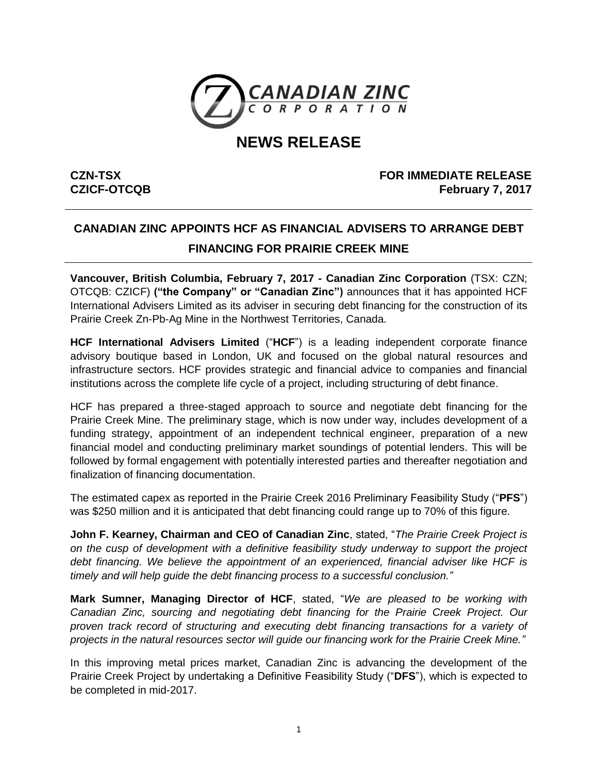

# **NEWS RELEASE**

**CZN-TSX CZICF-OTCQB**

## **FOR IMMEDIATE RELEASE February 7, 2017**

# **CANADIAN ZINC APPOINTS HCF AS FINANCIAL ADVISERS TO ARRANGE DEBT FINANCING FOR PRAIRIE CREEK MINE**

**Vancouver, British Columbia, February 7, 2017 - Canadian Zinc Corporation** (TSX: CZN; OTCQB: CZICF) **("the Company" or "Canadian Zinc")** announces that it has appointed HCF International Advisers Limited as its adviser in securing debt financing for the construction of its Prairie Creek Zn-Pb-Ag Mine in the Northwest Territories, Canada.

**HCF International Advisers Limited** ("**HCF**") is a leading independent corporate finance advisory boutique based in London, UK and focused on the global natural resources and infrastructure sectors. HCF provides strategic and financial advice to companies and financial institutions across the complete life cycle of a project, including structuring of debt finance.

HCF has prepared a three-staged approach to source and negotiate debt financing for the Prairie Creek Mine. The preliminary stage, which is now under way, includes development of a funding strategy, appointment of an independent technical engineer, preparation of a new financial model and conducting preliminary market soundings of potential lenders. This will be followed by formal engagement with potentially interested parties and thereafter negotiation and finalization of financing documentation.

The estimated capex as reported in the Prairie Creek 2016 Preliminary Feasibility Study ("**PFS**") was \$250 million and it is anticipated that debt financing could range up to 70% of this figure.

**John F. Kearney, Chairman and CEO of Canadian Zinc**, stated, "*The Prairie Creek Project is on the cusp of development with a definitive feasibility study underway to support the project debt financing. We believe the appointment of an experienced, financial adviser like HCF is timely and will help guide the debt financing process to a successful conclusion."*

**Mark Sumner, Managing Director of HCF**, stated, "*We are pleased to be working with Canadian Zinc, sourcing and negotiating debt financing for the Prairie Creek Project. Our proven track record of structuring and executing debt financing transactions for a variety of projects in the natural resources sector will guide our financing work for the Prairie Creek Mine."*

In this improving metal prices market, Canadian Zinc is advancing the development of the Prairie Creek Project by undertaking a Definitive Feasibility Study ("**DFS**"), which is expected to be completed in mid-2017.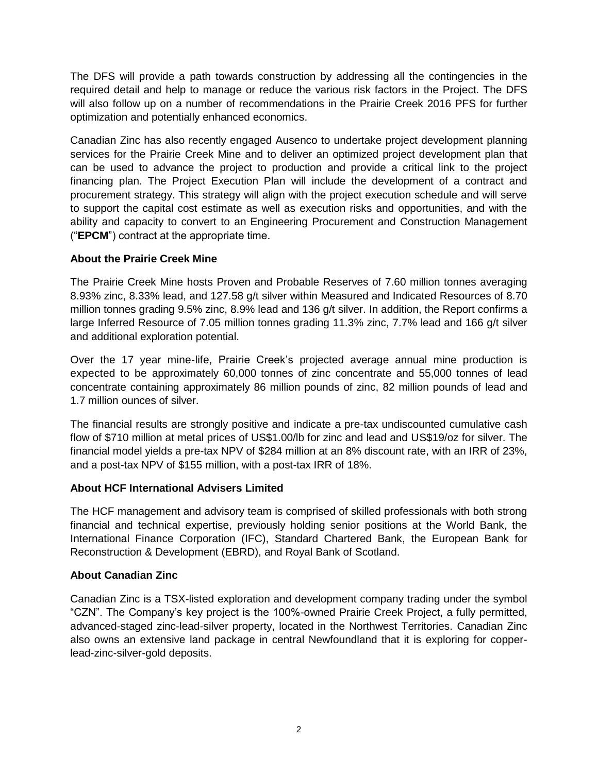The DFS will provide a path towards construction by addressing all the contingencies in the required detail and help to manage or reduce the various risk factors in the Project. The DFS will also follow up on a number of recommendations in the Prairie Creek 2016 PFS for further optimization and potentially enhanced economics.

Canadian Zinc has also recently engaged Ausenco to undertake project development planning services for the Prairie Creek Mine and to deliver an optimized project development plan that can be used to advance the project to production and provide a critical link to the project financing plan. The Project Execution Plan will include the development of a contract and procurement strategy. This strategy will align with the project execution schedule and will serve to support the capital cost estimate as well as execution risks and opportunities, and with the ability and capacity to convert to an Engineering Procurement and Construction Management ("**EPCM**") contract at the appropriate time.

### **About the Prairie Creek Mine**

The Prairie Creek Mine hosts Proven and Probable Reserves of 7.60 million tonnes averaging 8.93% zinc, 8.33% lead, and 127.58 g/t silver within Measured and Indicated Resources of 8.70 million tonnes grading 9.5% zinc, 8.9% lead and 136 g/t silver. In addition, the Report confirms a large Inferred Resource of 7.05 million tonnes grading 11.3% zinc, 7.7% lead and 166 g/t silver and additional exploration potential.

Over the 17 year mine-life, Prairie Creek's projected average annual mine production is expected to be approximately 60,000 tonnes of zinc concentrate and 55,000 tonnes of lead concentrate containing approximately 86 million pounds of zinc, 82 million pounds of lead and 1.7 million ounces of silver.

The financial results are strongly positive and indicate a pre-tax undiscounted cumulative cash flow of \$710 million at metal prices of US\$1.00/lb for zinc and lead and US\$19/oz for silver. The financial model yields a pre-tax NPV of \$284 million at an 8% discount rate, with an IRR of 23%, and a post-tax NPV of \$155 million, with a post-tax IRR of 18%.

## **About HCF International Advisers Limited**

The HCF management and advisory team is comprised of skilled professionals with both strong financial and technical expertise, previously holding senior positions at the World Bank, the International Finance Corporation (IFC), Standard Chartered Bank, the European Bank for Reconstruction & Development (EBRD), and Royal Bank of Scotland.

## **About Canadian Zinc**

Canadian Zinc is a TSX-listed exploration and development company trading under the symbol "CZN". The Company's key project is the 100%-owned Prairie Creek Project, a fully permitted, advanced-staged zinc-lead-silver property, located in the Northwest Territories. Canadian Zinc also owns an extensive land package in central Newfoundland that it is exploring for copperlead-zinc-silver-gold deposits.